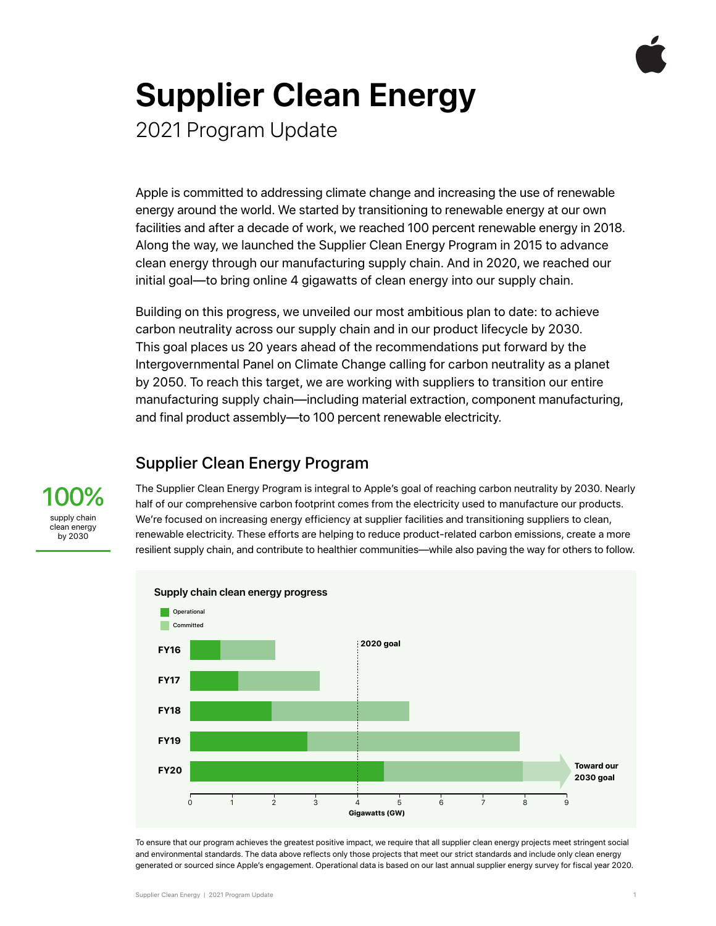

# **Supplier Clean Energy**

2021 Program Update

Apple is committed to addressing climate change and increasing the use of renewable energy around the world. We started by transitioning to renewable energy at our own facilities and after a decade of work, we reached 100 percent renewable energy in 2018. Along the way, we launched the Supplier Clean Energy Program in 2015 to advance clean energy through our manufacturing supply chain. And in 2020, we reached our initial goal—to bring online 4 gigawatts of clean energy into our supply chain.

Building on this progress, we unveiled our most ambitious plan to date: to achieve carbon neutrality across our supply chain and in our product lifecycle by 2030. This goal places us 20 years ahead of the recommendations put forward by the Intergovernmental Panel on Climate Change calling for carbon neutrality as a planet by 2050. To reach this target, we are working with suppliers to transition our entire manufacturing supply chain—including material extraction, component manufacturing, and final product assembly—to 100 percent renewable electricity.

#### Supplier Clean Energy Program

The Supplier Clean Energy Program is integral to Apple's goal of reaching carbon neutrality by 2030. Nearly half of our comprehensive carbon footprint comes from the electricity used to manufacture our products. We're focused on increasing energy efficiency at supplier facilities and transitioning suppliers to clean, renewable electricity. These efforts are helping to reduce product-related carbon emissions, create a more resilient supply chain, and contribute to healthier communities—while also paving the way for others to follow.



To ensure that our program achieves the greatest positive impact, we require that all supplier clean energy projects meet stringent social and environmental standards. The data above reflects only those projects that meet our strict standards and include only clean energy generated or sourced since Apple's engagement. Operational data is based on our last annual supplier energy survey for fiscal year 2020.

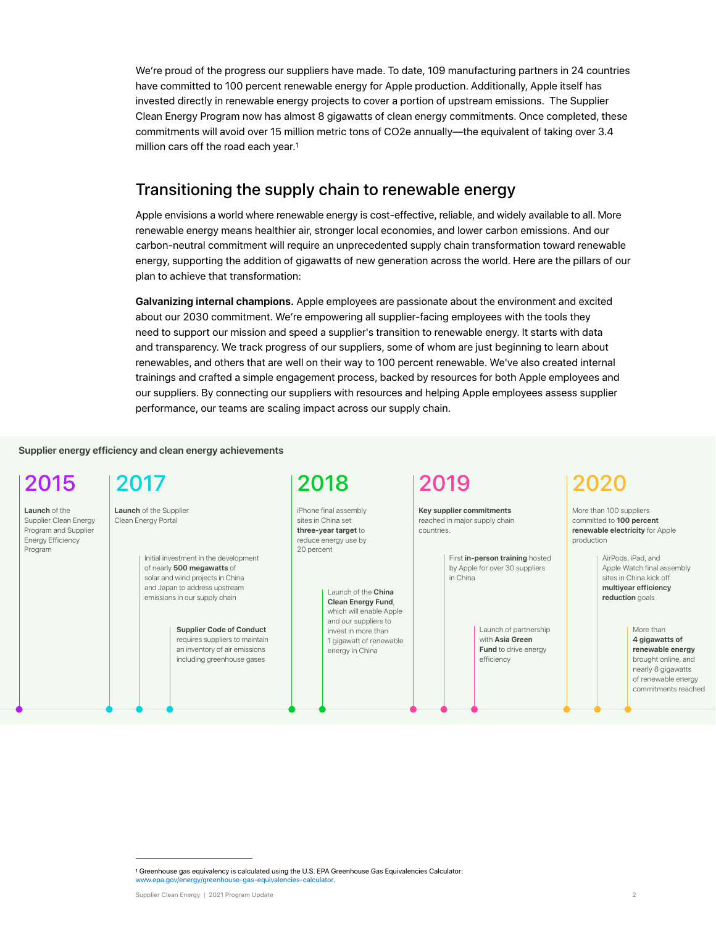We're proud of the progress our suppliers have made. To date, 109 manufacturing partners in 24 countries have committed to 100 percent renewable energy for Apple production. Additionally, Apple itself has invested directly in renewable energy projects to cover a portion of upstream emissions. The Supplier Clean Energy Program now has almost 8 gigawatts of clean energy commitments. Once completed, these commitments will avoid over 15 million metric tons of CO2e annually—the equivalent of taking over 3.4 million cars off the road each year.[1](#page-1-0)

#### <span id="page-1-1"></span>Transitioning the supply chain to renewable energy

Apple envisions a world where renewable energy is cost-effective, reliable, and widely available to all. More renewable energy means healthier air, stronger local economies, and lower carbon emissions. And our carbon-neutral commitment will require an unprecedented supply chain transformation toward renewable energy, supporting the addition of gigawatts of new generation across the world. Here are the pillars of our plan to achieve that transformation:

**Galvanizing internal champions.** Apple employees are passionate about the environment and excited about our 2030 commitment. We're empowering all supplier-facing employees with the tools they need to support our mission and speed a supplier's transition to renewable energy. It starts with data and transparency. We track progress of our suppliers, some of whom are just beginning to learn about renewables, and others that are well on their way to 100 percent renewable. We've also created internal trainings and crafted a simple engagement process, backed by resources for both Apple employees and our suppliers. By connecting our suppliers with resources and helping Apple employees assess supplier performance, our teams are scaling impact across our supply chain.

**Supplier energy efficiency and clean energy achievements**

**Launch** of the Supplier Clean Energy Program and Supplier Energy Efficiency Program

## 2015 2017 2018 2019 2020

**Launch** of the Supplier Clean Energy Portal

> Initial investment in the development of nearly **500 megawatts** of solar and wind projects in China and Japan to address upstream emissions in our supply chain

> > **Supplier Code of Conduct**  requires suppliers to maintain an inventory of air emissions including greenhouse gases

iPhone final assembly sites in China set **three-year target** to reduce energy use by 20 percent

> Launch of the **China Clean Energy Fund**, which will enable Apple and our suppliers to invest in more than 1 gigawatt of renewable energy in China

**Key supplier commitments**  reached in major supply chain countries.

> First **in-person training** hosted by Apple for over 30 suppliers in China

> > Launch of partnership with **Asia Green Fund** to drive energy efficiency

More than 100 suppliers committed to **100 percent renewable electricity** for Apple production

> AirPods, iPad, and Apple Watch final assembly sites in China kick off **multiyear efficiency reduction** goals

> > More than **4 gigawatts of renewable energy** brought online, and nearly 8 gigawatts of renewable energy commitments reached

<span id="page-1-0"></span><sup>&</sup>lt;sup>1</sup>Greenhouse gas equivalency is calculated using the U.S. EPA Greenhouse Gas Equivalencies Calculator: [www.epa.gov/energy/greenhouse-gas-equivalencies-calculator](https://www.epa.gov/energy/greenhouse-gas-equivalencies-calculator).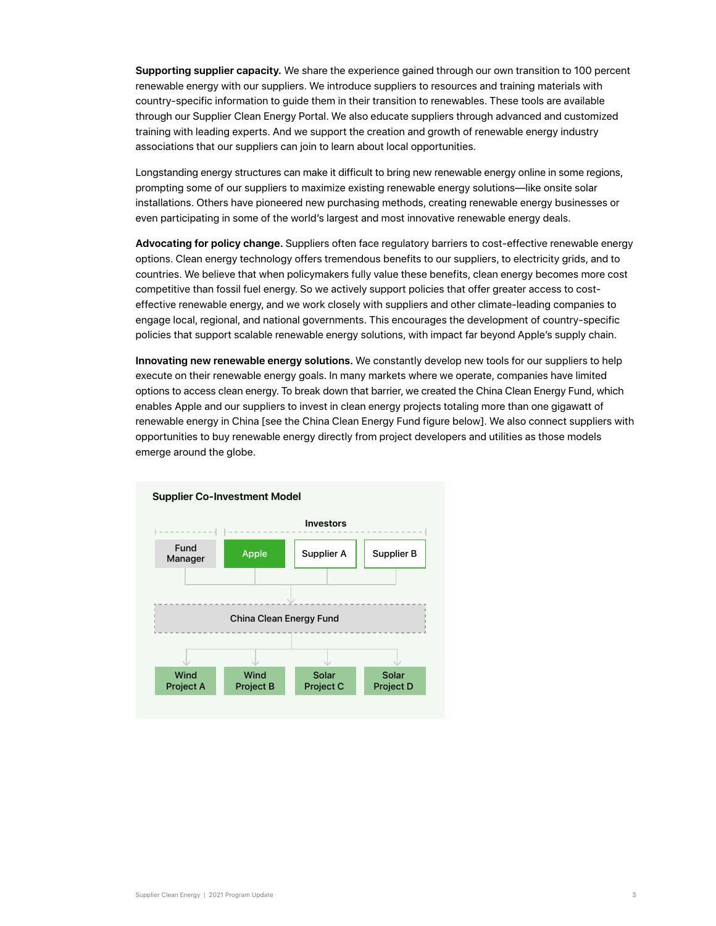**Supporting supplier capacity.** We share the experience gained through our own transition to 100 percent renewable energy with our suppliers. We introduce suppliers to resources and training materials with country-specific information to guide them in their transition to renewables. These tools are available through our Supplier Clean Energy Portal. We also educate suppliers through advanced and customized training with leading experts. And we support the creation and growth of renewable energy industry associations that our suppliers can join to learn about local opportunities.

Longstanding energy structures can make it difficult to bring new renewable energy online in some regions, prompting some of our suppliers to maximize existing renewable energy solutions—like onsite solar installations. Others have pioneered new purchasing methods, creating renewable energy businesses or even participating in some of the world's largest and most innovative renewable energy deals.

**Advocating for policy change.** Suppliers often face regulatory barriers to cost-effective renewable energy options. Clean energy technology offers tremendous benefits to our suppliers, to electricity grids, and to countries. We believe that when policymakers fully value these benefits, clean energy becomes more cost competitive than fossil fuel energy. So we actively support policies that offer greater access to costeffective renewable energy, and we work closely with suppliers and other climate-leading companies to engage local, regional, and national governments. This encourages the development of country-specific policies that support scalable renewable energy solutions, with impact far beyond Apple's supply chain.

**Innovating new renewable energy solutions.** We constantly develop new tools for our suppliers to help execute on their renewable energy goals. In many markets where we operate, companies have limited options to access clean energy. To break down that barrier, we created the China Clean Energy Fund, which enables Apple and our suppliers to invest in clean energy projects totaling more than one gigawatt of renewable energy in China [see the China Clean Energy Fund figure below]. We also connect suppliers with opportunities to buy renewable energy directly from project developers and utilities as those models emerge around the globe.

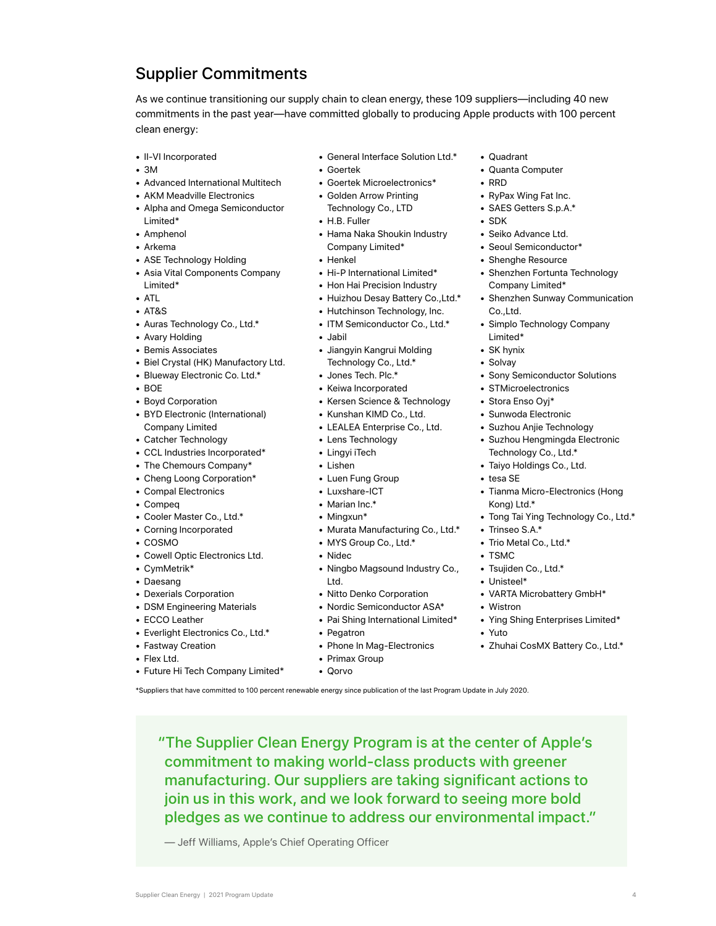## Supplier Commitments

As we continue transitioning our supply chain to clean energy, these 109 suppliers—including 40 new commitments in the past year—have committed globally to producing Apple products with 100 percent clean energy:

- II-VI Incorporated
- 3M
- Advanced International Multitech
- AKM Meadville Electronics
- Alpha and Omega Semiconductor Limited\*
- Amphenol
- Arkema
- ASE Technology Holding
- Asia Vital Components Company Limited\*
- ATL
- AT&S
- Auras Technology Co., Ltd.\*
- Avary Holding
- Bemis Associates
- Biel Crystal (HK) Manufactory Ltd.
- Blueway Electronic Co. Ltd.\*
- BOE
- Boyd Corporation
- BYD Electronic (International) Company Limited
- Catcher Technology
- CCL Industries Incorporated\*
- The Chemours Company\*
- Cheng Loong Corporation\*
- Compal Electronics
- Compeq
- Cooler Master Co., Ltd.\*
- Corning Incorporated
- COSMO
- Cowell Optic Electronics Ltd.
- CymMetrik\*
- Daesang
- Dexerials Corporation • DSM Engineering Materials
- ECCO Leather
- 
- Everlight Electronics Co., Ltd.\*
- Fastway Creation
- Flex Ltd.
- Future Hi Tech Company Limited\*
- General Interface Solution Ltd.\*
	- Goertek
	- Goertek Microelectronics\*
	- Golden Arrow Printing Technology Co., LTD
	- H.B. Fuller
	- Hama Naka Shoukin Industry Company Limited\*
	- Henkel
	- Hi-P International Limited\*
	- Hon Hai Precision Industry
	- Huizhou Desay Battery Co.,Ltd.\*
	- Hutchinson Technology, Inc.
	- ITM Semiconductor Co., Ltd.\*
	- Jabil
	- Jiangyin Kangrui Molding Technology Co., Ltd.\*
	- Jones Tech. Plc.\*
	- Keiwa Incorporated
	- Kersen Science & Technology
	- Kunshan KIMD Co., Ltd.
	- LEALEA Enterprise Co., Ltd.
	- Lens Technology
	- Lingyi iTech
	- Lishen
	- Luen Fung Group
	- Luxshare-ICT
	- Marian Inc.\*
	- Mingxun\*
	- Murata Manufacturing Co., Ltd.\*
	- MYS Group Co., Ltd.\*
	- Nidec
	- Ningbo Magsound Industry Co., Ltd.
	- Nitto Denko Corporation
	- Nordic Semiconductor ASA\*
	- Pai Shing International Limited\* • Ying Shing Enterprises Limited\*
	- Pegatron
	- Phone In Mag-Electronics

"The Supplier Clean Energy Program is at the center of Apple's commitment to making world-class products with greener manufacturing. Our suppliers are taking significant actions to join us in this work, and we look forward to seeing more bold pledges as we continue to address our environmental impact."

Supplier Clean Energy | 2021 Program Update 4

- Primax Group
- Qorvo

\*Suppliers that have committed to 100 percent renewable energy since publication of the last Program Update in July 2020.

— Jeff Williams, Apple's Chief Operating Officer

- Quadrant
	- Quanta Computer
	- RRD
	- RyPax Wing Fat Inc.
	- SAES Getters S.p.A.\*
	- SDK
	- Seiko Advance Ltd.
	- Seoul Semiconductor\*
	- Shenghe Resource
	- Shenzhen Fortunta Technology Company Limited\*
	- Shenzhen Sunway Communication Co.,Ltd.
	- Simplo Technology Company Limited\*
	- SK hynix
	- Solvay
	- Sony Semiconductor Solutions
	- STMicroelectronics
	- Stora Enso Oyj\*
	- Sunwoda Electronic
	- Suzhou Anjie Technology
	- Suzhou Hengmingda Electronic Technology Co., Ltd.\*
	- Taiyo Holdings Co., Ltd.
	- tesa SE

• TSMC

• Wistron

• Yuto

• Trinseo S.A.\* • Trio Metal Co., Ltd.\*

• Tsujiden Co., Ltd.\* • Unisteel\*

• VARTA Microbattery GmbH\*

• Zhuhai CosMX Battery Co., Ltd.\*

• Tianma Micro-Electronics (Hong Kong) Ltd.\* • Tong Tai Ying Technology Co., Ltd.\*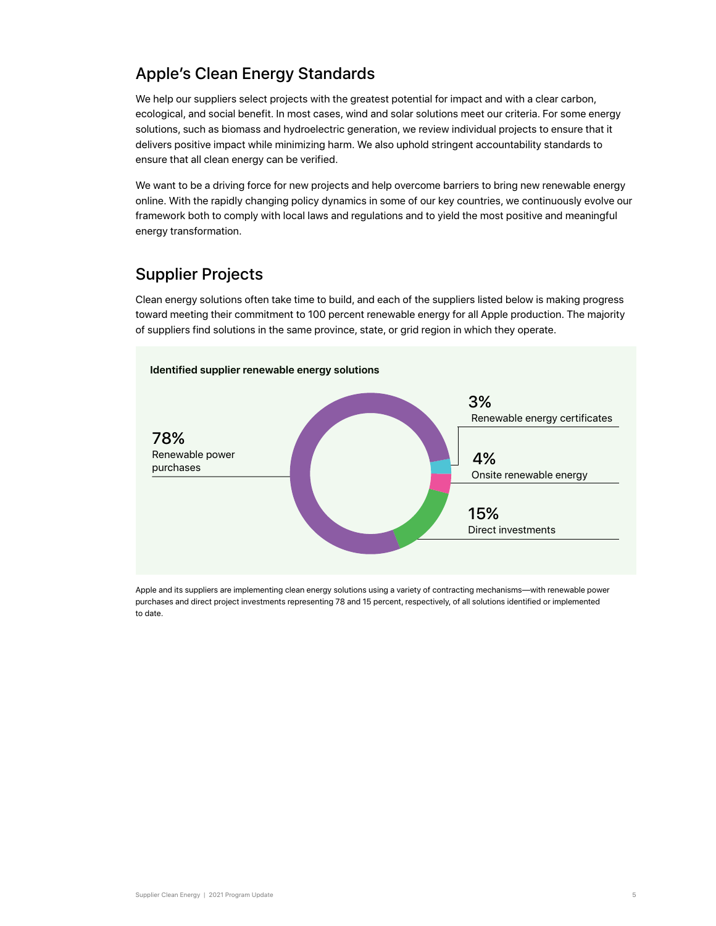### Apple's Clean Energy Standards

We help our suppliers select projects with the greatest potential for impact and with a clear carbon, ecological, and social benefit. In most cases, wind and solar solutions meet our criteria. For some energy solutions, such as biomass and hydroelectric generation, we review individual projects to ensure that it delivers positive impact while minimizing harm. We also uphold stringent accountability standards to ensure that all clean energy can be verified.

We want to be a driving force for new projects and help overcome barriers to bring new renewable energy online. With the rapidly changing policy dynamics in some of our key countries, we continuously evolve our framework both to comply with local laws and regulations and to yield the most positive and meaningful energy transformation.

## Supplier Projects

Clean energy solutions often take time to build, and each of the suppliers listed below is making progress toward meeting their commitment to 100 percent renewable energy for all Apple production. The majority of suppliers find solutions in the same province, state, or grid region in which they operate.



Apple and its suppliers are implementing clean energy solutions using a variety of contracting mechanisms—with renewable power purchases and direct project investments representing 78 and 15 percent, respectively, of all solutions identified or implemented to date.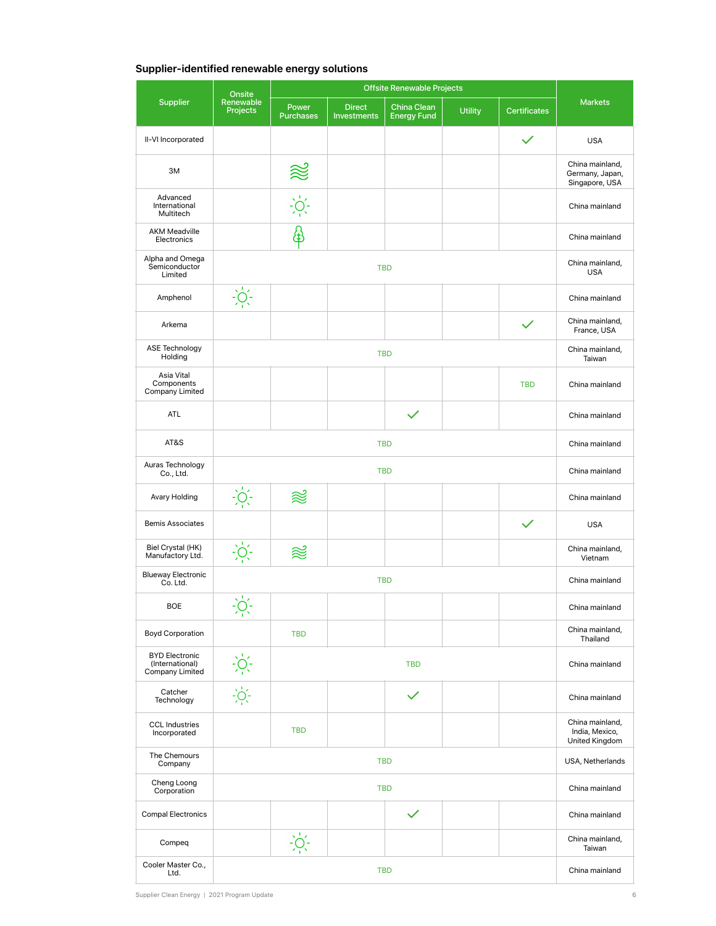#### **Supplier-identified renewable energy solutions**

|                                                             | <b>Offsite Renewable Projects</b><br>Onsite                                                                                                                                                                                                                                                                                                                     |                                 |                                     |                                   |                |                     |                                                      |
|-------------------------------------------------------------|-----------------------------------------------------------------------------------------------------------------------------------------------------------------------------------------------------------------------------------------------------------------------------------------------------------------------------------------------------------------|---------------------------------|-------------------------------------|-----------------------------------|----------------|---------------------|------------------------------------------------------|
| <b>Supplier</b>                                             | Renewable<br><b>Projects</b>                                                                                                                                                                                                                                                                                                                                    | Power<br><b>Purchases</b>       | <b>Direct</b><br><b>Investments</b> | China Clean<br><b>Energy Fund</b> | <b>Utility</b> | <b>Certificates</b> | <b>Markets</b>                                       |
| II-VI Incorporated                                          |                                                                                                                                                                                                                                                                                                                                                                 |                                 |                                     |                                   |                |                     | <b>USA</b>                                           |
| 3M                                                          |                                                                                                                                                                                                                                                                                                                                                                 | ≋                               |                                     |                                   |                |                     | China mainland,<br>Germany, Japan,<br>Singapore, USA |
| Advanced<br>International<br>Multitech                      |                                                                                                                                                                                                                                                                                                                                                                 | $\sum_{i=1}^{n} \sum_{i=1}^{n}$ |                                     |                                   |                |                     | China mainland                                       |
| <b>AKM Meadville</b><br>Electronics                         |                                                                                                                                                                                                                                                                                                                                                                 | ⊕                               |                                     |                                   |                |                     | China mainland                                       |
| Alpha and Omega<br>Semiconductor<br>Limited                 |                                                                                                                                                                                                                                                                                                                                                                 |                                 |                                     | <b>TBD</b>                        |                |                     | China mainland,<br><b>USA</b>                        |
| Amphenol                                                    | $\frac{1}{2}$                                                                                                                                                                                                                                                                                                                                                   |                                 |                                     |                                   |                |                     | China mainland                                       |
| Arkema                                                      |                                                                                                                                                                                                                                                                                                                                                                 |                                 |                                     |                                   |                |                     | China mainland,<br>France, USA                       |
| ASE Technology<br>Holding                                   |                                                                                                                                                                                                                                                                                                                                                                 |                                 |                                     | <b>TBD</b>                        |                |                     | China mainland,<br>Taiwan                            |
| Asia Vital<br>Components<br>Company Limited                 |                                                                                                                                                                                                                                                                                                                                                                 |                                 |                                     |                                   |                | <b>TBD</b>          | China mainland                                       |
| <b>ATL</b>                                                  |                                                                                                                                                                                                                                                                                                                                                                 |                                 |                                     |                                   |                |                     | China mainland                                       |
| AT&S                                                        | <b>TBD</b>                                                                                                                                                                                                                                                                                                                                                      |                                 |                                     |                                   |                |                     | China mainland                                       |
| Auras Technology<br>Co., Ltd.                               | <b>TBD</b>                                                                                                                                                                                                                                                                                                                                                      |                                 |                                     |                                   |                |                     | China mainland                                       |
| Avary Holding                                               |                                                                                                                                                                                                                                                                                                                                                                 | ≋                               |                                     |                                   |                |                     | China mainland                                       |
| <b>Bemis Associates</b>                                     |                                                                                                                                                                                                                                                                                                                                                                 |                                 |                                     |                                   |                |                     | <b>USA</b>                                           |
| Biel Crystal (HK)<br>Manufactory Ltd.                       |                                                                                                                                                                                                                                                                                                                                                                 | ≋                               |                                     |                                   |                |                     | China mainland,<br>Vietnam                           |
| <b>Blueway Electronic</b><br>Co. Ltd.                       |                                                                                                                                                                                                                                                                                                                                                                 |                                 |                                     | <b>TBD</b>                        |                |                     | China mainland                                       |
| <b>BOE</b>                                                  | $\sum_{i=1}^{n}$                                                                                                                                                                                                                                                                                                                                                |                                 |                                     |                                   |                |                     | China mainland                                       |
| <b>Boyd Corporation</b>                                     |                                                                                                                                                                                                                                                                                                                                                                 | <b>TBD</b>                      |                                     |                                   |                |                     | China mainland,<br>Thailand                          |
| <b>BYD Electronic</b><br>(International)<br>Company Limited | $\frac{1}{2} \sum_{i=1}^{n} \frac{1}{2} \sum_{i=1}^{n} \frac{1}{2} \sum_{i=1}^{n} \frac{1}{2} \sum_{i=1}^{n} \frac{1}{2} \sum_{i=1}^{n} \frac{1}{2} \sum_{i=1}^{n} \frac{1}{2} \sum_{i=1}^{n} \frac{1}{2} \sum_{i=1}^{n} \frac{1}{2} \sum_{i=1}^{n} \frac{1}{2} \sum_{i=1}^{n} \frac{1}{2} \sum_{i=1}^{n} \frac{1}{2} \sum_{i=1}^{n} \frac{1}{2} \sum_{i=1}^{n$ |                                 |                                     | China mainland                    |                |                     |                                                      |
| Catcher<br>Technology                                       |                                                                                                                                                                                                                                                                                                                                                                 |                                 |                                     | $\checkmark$                      |                |                     | China mainland                                       |
| <b>CCL Industries</b><br>Incorporated                       |                                                                                                                                                                                                                                                                                                                                                                 | <b>TBD</b>                      |                                     |                                   |                |                     | China mainland,<br>India, Mexico,<br>United Kingdom  |
| The Chemours<br>Company                                     |                                                                                                                                                                                                                                                                                                                                                                 |                                 |                                     | <b>TBD</b>                        |                |                     | USA, Netherlands                                     |
| Cheng Loong<br>Corporation                                  |                                                                                                                                                                                                                                                                                                                                                                 |                                 |                                     | <b>TBD</b>                        |                |                     | China mainland                                       |
| <b>Compal Electronics</b>                                   |                                                                                                                                                                                                                                                                                                                                                                 |                                 |                                     |                                   |                |                     | China mainland                                       |
| Compeq                                                      |                                                                                                                                                                                                                                                                                                                                                                 | $\frac{1}{2}$                   |                                     |                                   |                |                     | China mainland,<br>Taiwan                            |
| Cooler Master Co.,<br>Ltd.                                  |                                                                                                                                                                                                                                                                                                                                                                 | China mainland                  |                                     |                                   |                |                     |                                                      |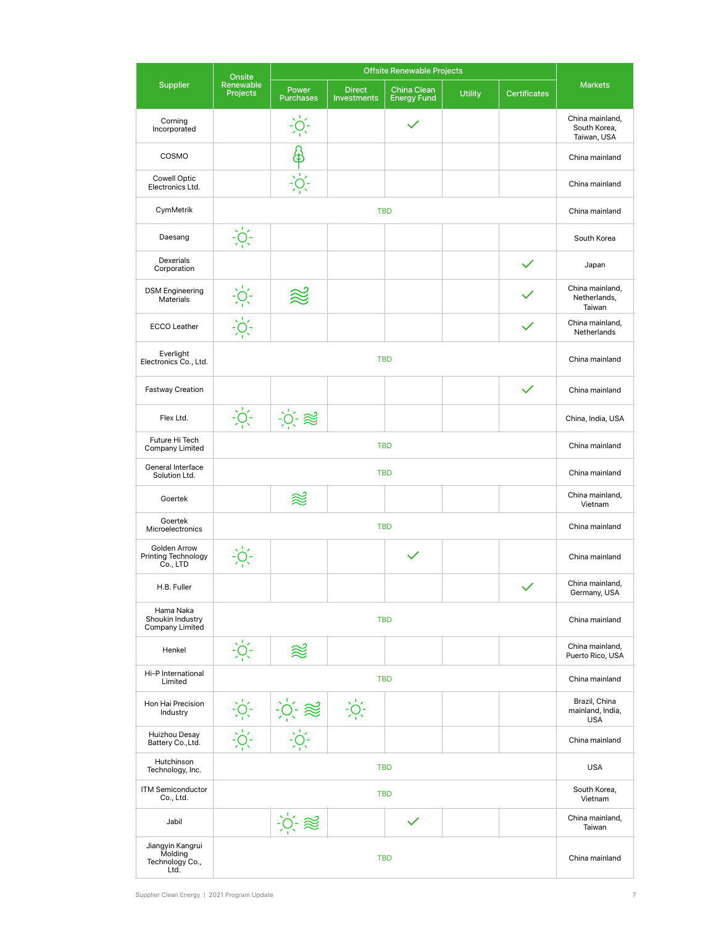|                                                        | <b>Offsite Renewable Projects</b><br>Onsite |                                   |                                     |                                   |                |                     |                                                 |
|--------------------------------------------------------|---------------------------------------------|-----------------------------------|-------------------------------------|-----------------------------------|----------------|---------------------|-------------------------------------------------|
| <b>Supplier</b>                                        | Renewable<br><b>Projects</b>                | Power<br><b>Purchases</b>         | <b>Direct</b><br><b>Investments</b> | China Clean<br><b>Energy Fund</b> | <b>Utility</b> | <b>Certificates</b> | <b>Markets</b>                                  |
| Corning<br>Incorporated                                |                                             | $\frac{1}{2}$                     |                                     |                                   |                |                     | China mainland,<br>South Korea,<br>Taiwan, USA  |
| COSMO                                                  |                                             |                                   |                                     |                                   |                |                     | China mainland                                  |
| <b>Cowell Optic</b><br>Electronics Ltd.                |                                             |                                   |                                     |                                   |                |                     | China mainland                                  |
| CymMetrik                                              |                                             |                                   |                                     | <b>TBD</b>                        |                |                     | China mainland                                  |
| Daesang                                                | $\frac{1}{2}$                               |                                   |                                     |                                   |                |                     | South Korea                                     |
| Dexerials<br>Corporation                               |                                             |                                   |                                     |                                   |                |                     | Japan                                           |
| <b>DSM Engineering</b><br>Materials                    | $\frac{1}{2}$                               |                                   |                                     |                                   |                |                     | China mainland,<br>Netherlands,<br>Taiwan       |
| <b>ECCO Leather</b>                                    | $\frac{1}{2}O(1)$                           |                                   |                                     |                                   |                |                     | China mainland.<br>Netherlands                  |
| Everlight<br>Electronics Co., Ltd.                     |                                             |                                   |                                     | <b>TBD</b>                        |                |                     | China mainland                                  |
| <b>Fastway Creation</b>                                |                                             |                                   |                                     |                                   |                | $\checkmark$        | China mainland                                  |
| Flex Ltd.                                              | $\frac{1}{2}O(1)$                           | $\therefore$ $\phi$ and $\approx$ |                                     |                                   |                |                     | China, India, USA                               |
| Future Hi Tech<br><b>Company Limited</b>               |                                             | China mainland                    |                                     |                                   |                |                     |                                                 |
| General Interface<br>Solution Ltd.                     | <b>TBD</b>                                  |                                   |                                     |                                   |                |                     | China mainland                                  |
| Goertek                                                |                                             | ≋                                 |                                     |                                   |                |                     | China mainland,<br>Vietnam                      |
| Goertek<br>Microelectronics                            |                                             |                                   |                                     | <b>TBD</b>                        |                |                     | China mainland                                  |
| Golden Arrow<br><b>Printing Technology</b><br>Co., LTD | $\frac{1}{2}O(1)$                           |                                   |                                     |                                   |                |                     | China mainland                                  |
| H.B. Fuller                                            |                                             |                                   |                                     |                                   |                | $\checkmark$        | China mainland,<br>Germany, USA                 |
| Hama Naka<br>Shoukin Industry<br>Company Limited       |                                             | <b>TBD</b>                        |                                     |                                   |                |                     |                                                 |
| Henkel                                                 | $\frac{1}{2}O^{-1}$                         | ≋                                 |                                     |                                   |                |                     | China mainland,<br>Puerto Rico, USA             |
| Hi-P International<br>Limited                          | <b>TBD</b>                                  |                                   |                                     |                                   |                |                     | China mainland                                  |
| Hon Hai Precision<br>Industry                          |                                             | $-\rho + \approx$                 | $\frac{1}{2}O(1)$                   |                                   |                |                     | Brazil, China<br>mainland, India,<br><b>USA</b> |
| Huizhou Desay<br>Battery Co., Ltd.                     | $\cdot \circ \cdot$                         |                                   |                                     |                                   |                |                     | China mainland                                  |
| Hutchinson<br>Technology, Inc.                         | <b>TBD</b>                                  |                                   |                                     |                                   |                |                     | <b>USA</b>                                      |
| <b>ITM Semiconductor</b><br>Co., Ltd.                  |                                             |                                   |                                     | <b>TBD</b>                        |                |                     | South Korea,<br>Vietnam                         |
| Jabil                                                  |                                             | $\therefore$ $\leq$               |                                     |                                   |                |                     | China mainland,<br>Taiwan                       |
| Jiangyin Kangrui<br>Molding<br>Technology Co.,<br>Ltd. |                                             |                                   |                                     | <b>TBD</b>                        |                |                     | China mainland                                  |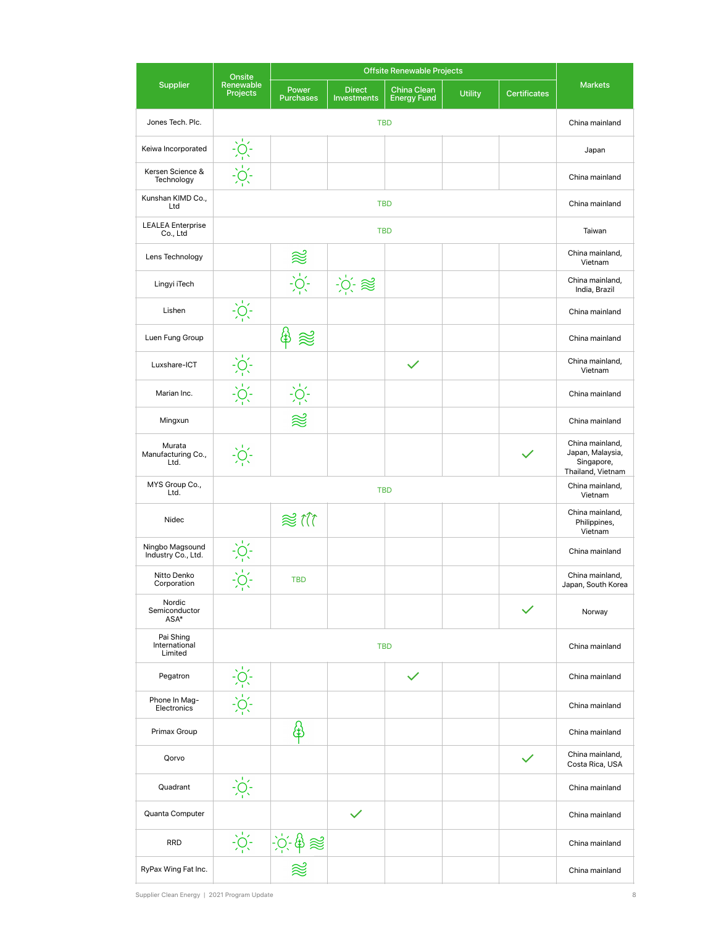|                                       | <b>Offsite Renewable Projects</b><br>Onsite                                                                                                                                                                                                                                                                         |                             |                                       |                                   |                |                     |                                                                        |
|---------------------------------------|---------------------------------------------------------------------------------------------------------------------------------------------------------------------------------------------------------------------------------------------------------------------------------------------------------------------|-----------------------------|---------------------------------------|-----------------------------------|----------------|---------------------|------------------------------------------------------------------------|
| <b>Supplier</b>                       | Renewable<br><b>Projects</b>                                                                                                                                                                                                                                                                                        | Power<br><b>Purchases</b>   | <b>Direct</b><br><b>Investments</b>   | China Clean<br><b>Energy Fund</b> | <b>Utility</b> | <b>Certificates</b> | <b>Markets</b>                                                         |
| Jones Tech. Plc.                      |                                                                                                                                                                                                                                                                                                                     |                             |                                       | <b>TBD</b>                        |                |                     | China mainland                                                         |
| Keiwa Incorporated                    | $\frac{1}{2}$ $\frac{1}{2}$ $\frac{1}{2}$ $\frac{1}{2}$ $\frac{1}{2}$ $\frac{1}{2}$ $\frac{1}{2}$ $\frac{1}{2}$ $\frac{1}{2}$ $\frac{1}{2}$ $\frac{1}{2}$ $\frac{1}{2}$ $\frac{1}{2}$ $\frac{1}{2}$ $\frac{1}{2}$ $\frac{1}{2}$ $\frac{1}{2}$ $\frac{1}{2}$ $\frac{1}{2}$ $\frac{1}{2}$ $\frac{1}{2}$ $\frac{1}{2}$ |                             |                                       |                                   |                |                     | Japan                                                                  |
| Kersen Science &<br>Technology        |                                                                                                                                                                                                                                                                                                                     |                             |                                       |                                   |                |                     | China mainland                                                         |
| Kunshan KIMD Co.,<br>Ltd              |                                                                                                                                                                                                                                                                                                                     |                             |                                       | <b>TBD</b>                        |                |                     | China mainland                                                         |
| <b>LEALEA</b> Enterprise<br>Co., Ltd  |                                                                                                                                                                                                                                                                                                                     |                             |                                       | <b>TBD</b>                        |                |                     | Taiwan                                                                 |
| Lens Technology                       |                                                                                                                                                                                                                                                                                                                     | $\approx$                   |                                       |                                   |                |                     | China mainland,<br>Vietnam                                             |
| Lingyi iTech                          |                                                                                                                                                                                                                                                                                                                     | $\frac{1}{2}\sum_{i=1}^{n}$ | $\frac{1}{2}$ $\frac{1}{2}$ $\approx$ |                                   |                |                     | China mainland,<br>India, Brazil                                       |
| Lishen                                | $\frac{1}{2}$                                                                                                                                                                                                                                                                                                       |                             |                                       |                                   |                |                     | China mainland                                                         |
| Luen Fung Group                       |                                                                                                                                                                                                                                                                                                                     | ₩                           |                                       |                                   |                |                     | China mainland                                                         |
| Luxshare-ICT                          | $\frac{1}{2}$ $\frac{1}{2}$ $\frac{1}{2}$ $\frac{1}{2}$ $\frac{1}{2}$ $\frac{1}{2}$ $\frac{1}{2}$ $\frac{1}{2}$ $\frac{1}{2}$ $\frac{1}{2}$ $\frac{1}{2}$ $\frac{1}{2}$ $\frac{1}{2}$ $\frac{1}{2}$ $\frac{1}{2}$ $\frac{1}{2}$ $\frac{1}{2}$ $\frac{1}{2}$ $\frac{1}{2}$ $\frac{1}{2}$ $\frac{1}{2}$ $\frac{1}{2}$ |                             |                                       |                                   |                |                     | China mainland,<br>Vietnam                                             |
| Marian Inc.                           |                                                                                                                                                                                                                                                                                                                     | $-\sum_{i=1}^{n}$           |                                       |                                   |                |                     | China mainland                                                         |
| Mingxun                               |                                                                                                                                                                                                                                                                                                                     | 忽                           |                                       |                                   |                |                     | China mainland                                                         |
| Murata<br>Manufacturing Co.,<br>Ltd.  | $\frac{1}{2}$                                                                                                                                                                                                                                                                                                       |                             |                                       |                                   |                |                     | China mainland,<br>Japan, Malaysia,<br>Singapore,<br>Thailand, Vietnam |
| MYS Group Co.,<br>Ltd.                |                                                                                                                                                                                                                                                                                                                     |                             |                                       | <b>TBD</b>                        |                |                     | China mainland,<br>Vietnam                                             |
| Nidec                                 |                                                                                                                                                                                                                                                                                                                     | $\approx$ 11                |                                       |                                   |                |                     | China mainland,<br>Philippines,<br>Vietnam                             |
| Ningbo Magsound<br>Industry Co., Ltd. | $-\sum_{i=1}^{n}$                                                                                                                                                                                                                                                                                                   |                             |                                       |                                   |                |                     | China mainland                                                         |
| Nitto Denko<br>Corporation            | $\frac{1}{2}$<br>٠                                                                                                                                                                                                                                                                                                  | <b>TBD</b>                  |                                       |                                   |                |                     | China mainland,<br>Japan, South Korea                                  |
| Nordic<br>Semiconductor<br>ASA*       |                                                                                                                                                                                                                                                                                                                     |                             |                                       |                                   |                |                     | Norway                                                                 |
| Pai Shing<br>International<br>Limited | <b>TBD</b>                                                                                                                                                                                                                                                                                                          |                             |                                       |                                   |                |                     | China mainland                                                         |
| Pegatron                              | $\frac{1}{2}$ $\frac{1}{2}$ $\frac{1}{2}$ $\frac{1}{2}$ $\frac{1}{2}$ $\frac{1}{2}$ $\frac{1}{2}$ $\frac{1}{2}$ $\frac{1}{2}$ $\frac{1}{2}$ $\frac{1}{2}$ $\frac{1}{2}$ $\frac{1}{2}$ $\frac{1}{2}$ $\frac{1}{2}$ $\frac{1}{2}$ $\frac{1}{2}$ $\frac{1}{2}$ $\frac{1}{2}$ $\frac{1}{2}$ $\frac{1}{2}$ $\frac{1}{2}$ |                             |                                       | $\checkmark$                      |                |                     | China mainland                                                         |
| Phone In Mag-<br>Electronics          |                                                                                                                                                                                                                                                                                                                     |                             |                                       |                                   |                |                     | China mainland                                                         |
| Primax Group                          |                                                                                                                                                                                                                                                                                                                     | \$                          |                                       |                                   |                |                     | China mainland                                                         |
| Qorvo                                 |                                                                                                                                                                                                                                                                                                                     |                             |                                       |                                   |                | $\checkmark$        | China mainland,<br>Costa Rica, USA                                     |
| Quadrant                              | $-\sum_{i=1}^{n}$                                                                                                                                                                                                                                                                                                   |                             |                                       |                                   |                |                     | China mainland                                                         |
| Quanta Computer                       |                                                                                                                                                                                                                                                                                                                     |                             |                                       |                                   |                |                     | China mainland                                                         |
| <b>RRD</b>                            | $-\frac{1}{2}O_1^2$                                                                                                                                                                                                                                                                                                 | $-\phi$ $\phi \approx$      |                                       |                                   |                |                     | China mainland                                                         |
| RyPax Wing Fat Inc.                   |                                                                                                                                                                                                                                                                                                                     |                             |                                       |                                   |                |                     | China mainland                                                         |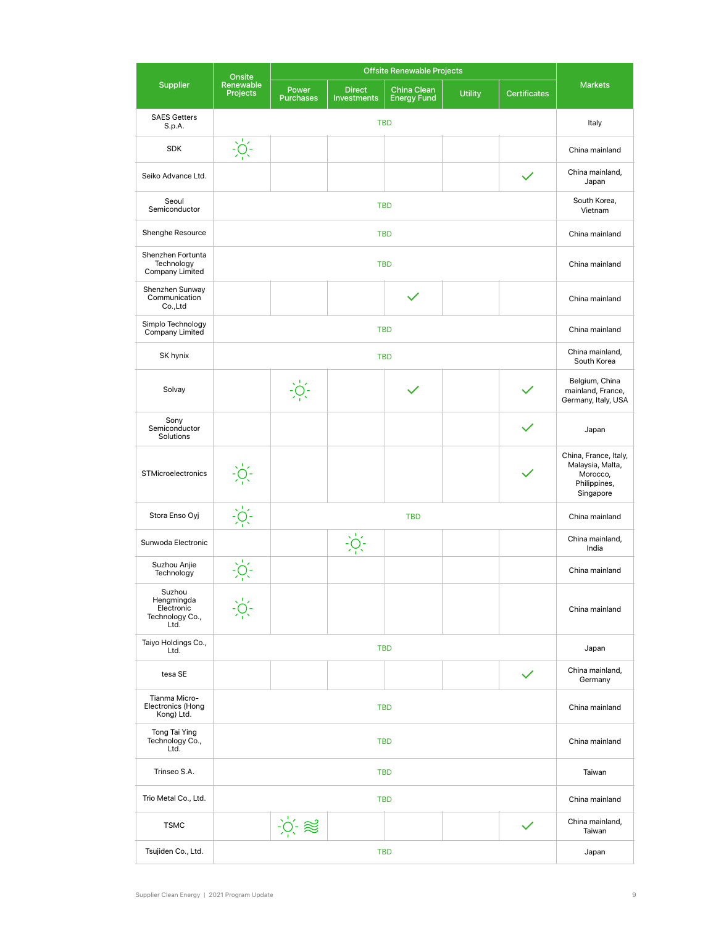|                                                               | <b>Offsite Renewable Projects</b><br>Onsite |                           |                                     |                                   |                |                     |                                                                                    |
|---------------------------------------------------------------|---------------------------------------------|---------------------------|-------------------------------------|-----------------------------------|----------------|---------------------|------------------------------------------------------------------------------------|
| Supplier                                                      | Renewable<br><b>Projects</b>                | Power<br><b>Purchases</b> | <b>Direct</b><br><b>Investments</b> | China Clean<br><b>Energy Fund</b> | <b>Utility</b> | <b>Certificates</b> | <b>Markets</b>                                                                     |
| <b>SAES Getters</b><br>S.p.A.                                 |                                             | Italy                     |                                     |                                   |                |                     |                                                                                    |
| <b>SDK</b>                                                    | $\sum_{i=1}^{n} \sum_{i=1}^{n}$             |                           |                                     |                                   |                |                     | China mainland                                                                     |
| Seiko Advance Ltd.                                            |                                             |                           |                                     |                                   |                |                     | China mainland,<br>Japan                                                           |
| Seoul<br>Semiconductor                                        |                                             |                           |                                     | <b>TBD</b>                        |                |                     | South Korea,<br>Vietnam                                                            |
| Shenghe Resource                                              |                                             |                           |                                     | <b>TBD</b>                        |                |                     | China mainland                                                                     |
| Shenzhen Fortunta<br>Technology<br>Company Limited            |                                             |                           |                                     | <b>TBD</b>                        |                |                     | China mainland                                                                     |
| Shenzhen Sunway<br>Communication<br>Co., Ltd                  |                                             |                           |                                     |                                   |                |                     | China mainland                                                                     |
| Simplo Technology<br>Company Limited                          |                                             |                           |                                     | <b>TBD</b>                        |                |                     | China mainland                                                                     |
| SK hynix                                                      |                                             |                           |                                     | <b>TBD</b>                        |                |                     | China mainland,<br>South Korea                                                     |
| Solvay                                                        |                                             | $\frac{1}{2}$             |                                     |                                   |                |                     | Belgium, China<br>mainland, France,<br>Germany, Italy, USA                         |
| Sony<br>Semiconductor<br>Solutions                            |                                             |                           |                                     |                                   |                |                     | Japan                                                                              |
| <b>STMicroelectronics</b>                                     | $\sum_{i=1}^{n} \sum_{i=1}^{n}$             |                           |                                     |                                   |                |                     | China, France, Italy,<br>Malaysia, Malta,<br>Morocco,<br>Philippines,<br>Singapore |
| Stora Enso Oyj                                                | $\frac{1}{2}$ $\frac{1}{2}$ $\frac{1}{2}$   |                           | China mainland                      |                                   |                |                     |                                                                                    |
| Sunwoda Electronic                                            |                                             |                           | $\frac{1}{2}O^{-1}$                 |                                   |                |                     | China mainland,<br>India                                                           |
| Suzhou Anjie<br>Technology                                    |                                             |                           |                                     |                                   |                |                     | China mainland                                                                     |
| Suzhou<br>Hengmingda<br>Electronic<br>Technology Co.,<br>Ltd. |                                             |                           |                                     |                                   |                |                     | China mainland                                                                     |
| Taiyo Holdings Co.,<br>Ltd.                                   | <b>TBD</b>                                  |                           |                                     |                                   |                |                     | Japan                                                                              |
| tesa SE                                                       |                                             |                           |                                     |                                   |                |                     | China mainland,<br>Germany                                                         |
| Tianma Micro-<br>Electronics (Hong<br>Kong) Ltd.              | <b>TBD</b>                                  |                           |                                     |                                   |                |                     | China mainland                                                                     |
| Tong Tai Ying<br>Technology Co.,<br>Ltd.                      | <b>TBD</b>                                  |                           |                                     |                                   |                |                     | China mainland                                                                     |
| Trinseo S.A.                                                  |                                             |                           |                                     | <b>TBD</b>                        |                |                     | Taiwan                                                                             |
| Trio Metal Co., Ltd.                                          |                                             |                           |                                     | <b>TBD</b>                        |                |                     | China mainland                                                                     |
| <b>TSMC</b>                                                   |                                             | $-\phi$ $\approx$         |                                     |                                   |                |                     | China mainland,<br>Taiwan                                                          |
| Tsujiden Co., Ltd.                                            |                                             | Japan                     |                                     |                                   |                |                     |                                                                                    |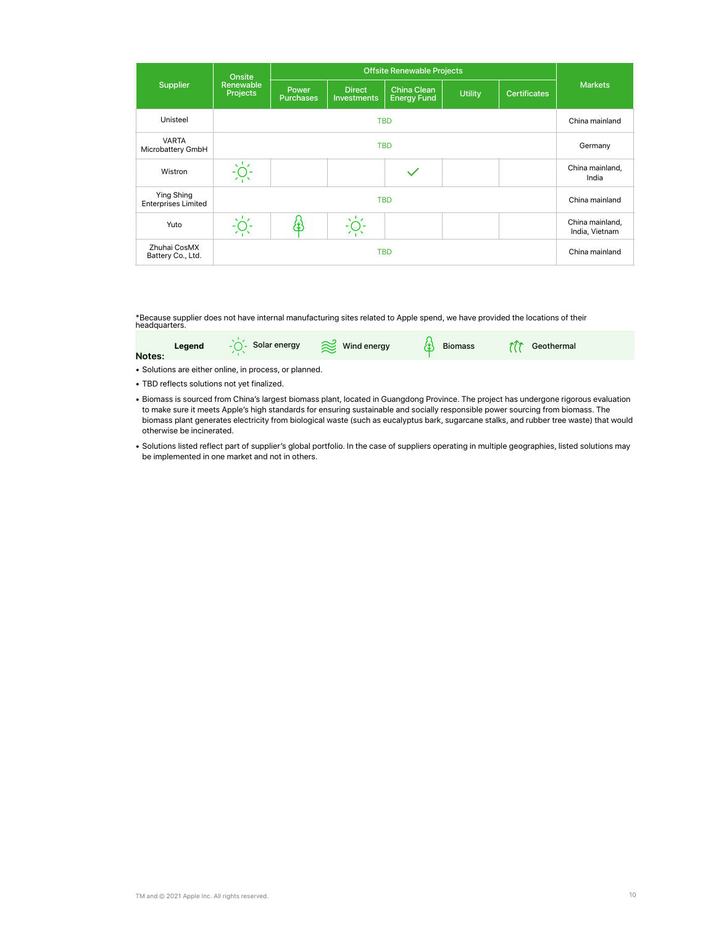|                                          | <b>Onsite</b>                |                           |                                     |                                          |                |                     |                          |  |  |
|------------------------------------------|------------------------------|---------------------------|-------------------------------------|------------------------------------------|----------------|---------------------|--------------------------|--|--|
| <b>Supplier</b>                          | Renewable<br><b>Projects</b> | Power<br><b>Purchases</b> | <b>Direct</b><br><b>Investments</b> | <b>China Clean</b><br><b>Energy Fund</b> | <b>Utility</b> | <b>Certificates</b> | <b>Markets</b>           |  |  |
| Unisteel                                 |                              | <b>TBD</b>                |                                     |                                          |                |                     |                          |  |  |
| <b>VARTA</b><br>Microbattery GmbH        | <b>TBD</b>                   |                           |                                     |                                          |                |                     | Germany                  |  |  |
| Wistron                                  |                              |                           |                                     |                                          |                |                     | China mainland,<br>India |  |  |
| Ying Shing<br><b>Enterprises Limited</b> |                              | China mainland            |                                     |                                          |                |                     |                          |  |  |
| Yuto                                     |                              | ť                         |                                     |                                          |                |                     |                          |  |  |
| Zhuhai CosMX<br>Battery Co., Ltd.        |                              | China mainland            |                                     |                                          |                |                     |                          |  |  |

\*Because supplier does not have internal manufacturing sites related to Apple spend, we have provided the locations of their headquarters.

| Notes: | Legend | $-\overline{O}$ Solar energy $\overline{\text{mod}}$ Wind energy | Biomass<br>甾 | ↑ Geothermal |  |
|--------|--------|------------------------------------------------------------------|--------------|--------------|--|
|        |        |                                                                  |              |              |  |

• Solutions are either online, in process, or planned.

- TBD reflects solutions not yet finalized.
- Biomass is sourced from China's largest biomass plant, located in Guangdong Province. The project has undergone rigorous evaluation to make sure it meets Apple's high standards for ensuring sustainable and socially responsible power sourcing from biomass. The biomass plant generates electricity from biological waste (such as eucalyptus bark, sugarcane stalks, and rubber tree waste) that would otherwise be incinerated.
- Solutions listed reflect part of supplier's global portfolio. In the case of suppliers operating in multiple geographies, listed solutions may be implemented in one market and not in others.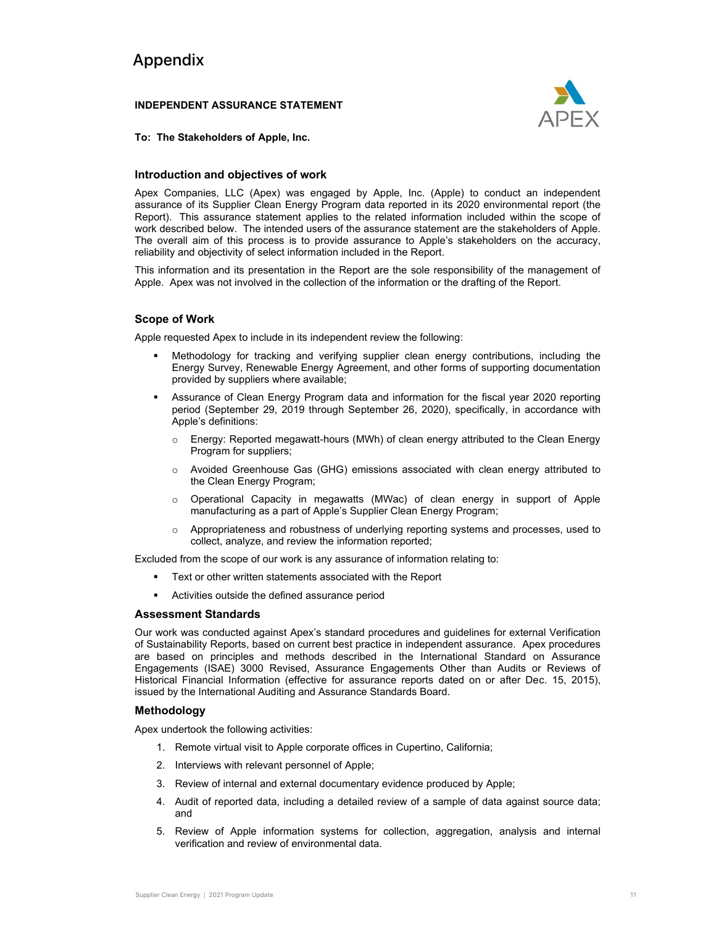#### Appendix

#### **INDEPENDENT ASSURANCE STATEMENT**



**To: The Stakeholders of Apple, Inc.**

#### **Introduction and objectives of work**

Apex Companies, LLC (Apex) was engaged by Apple, Inc. (Apple) to conduct an independent assurance of its Supplier Clean Energy Program data reported in its 2020 environmental report (the Report). This assurance statement applies to the related information included within the scope of work described below. The intended users of the assurance statement are the stakeholders of Apple. The overall aim of this process is to provide assurance to Apple's stakeholders on the accuracy, reliability and objectivity of select information included in the Report.

This information and its presentation in the Report are the sole responsibility of the management of Apple. Apex was not involved in the collection of the information or the drafting of the Report.

#### **Scope of Work**

Apple requested Apex to include in its independent review the following:

- Methodology for tracking and verifying supplier clean energy contributions, including the Energy Survey, Renewable Energy Agreement, and other forms of supporting documentation provided by suppliers where available;
- Assurance of Clean Energy Program data and information for the fiscal year 2020 reporting period (September 29, 2019 through September 26, 2020), specifically, in accordance with Apple's definitions:
	- $\circ$  Energy: Reported megawatt-hours (MWh) of clean energy attributed to the Clean Energy Program for suppliers;
	- o Avoided Greenhouse Gas (GHG) emissions associated with clean energy attributed to the Clean Energy Program;
	- o Operational Capacity in megawatts (MWac) of clean energy in support of Apple manufacturing as a part of Apple's Supplier Clean Energy Program;
	- $\circ$  Appropriateness and robustness of underlying reporting systems and processes, used to collect, analyze, and review the information reported;

Excluded from the scope of our work is any assurance of information relating to:

- Text or other written statements associated with the Report
- Activities outside the defined assurance period

#### **Assessment Standards**

Our work was conducted against Apex's standard procedures and guidelines for external Verification of Sustainability Reports, based on current best practice in independent assurance. Apex procedures are based on principles and methods described in the International Standard on Assurance Engagements (ISAE) 3000 Revised, Assurance Engagements Other than Audits or Reviews of Historical Financial Information (effective for assurance reports dated on or after Dec. 15, 2015), issued by the International Auditing and Assurance Standards Board.

#### **Methodology**

Apex undertook the following activities:

- 1. Remote virtual visit to Apple corporate offices in Cupertino, California;
- 2. Interviews with relevant personnel of Apple;
- 3. Review of internal and external documentary evidence produced by Apple;
- 4. Audit of reported data, including a detailed review of a sample of data against source data; and
- 5. Review of Apple information systems for collection, aggregation, analysis and internal verification and review of environmental data.